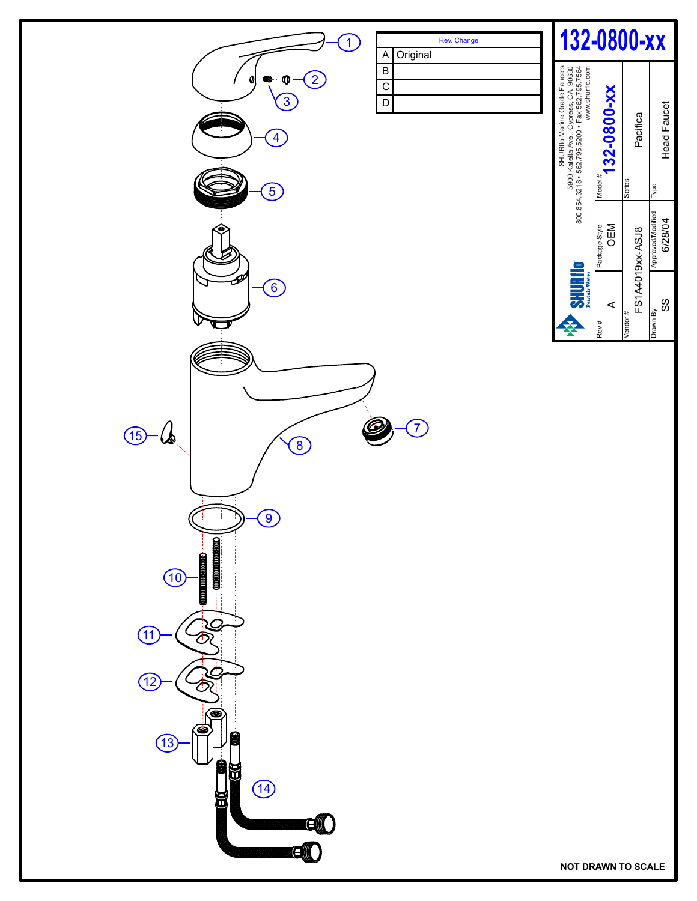